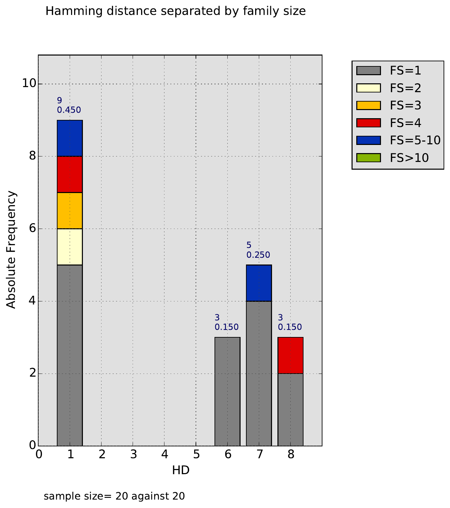## Hamming distance separated by family size





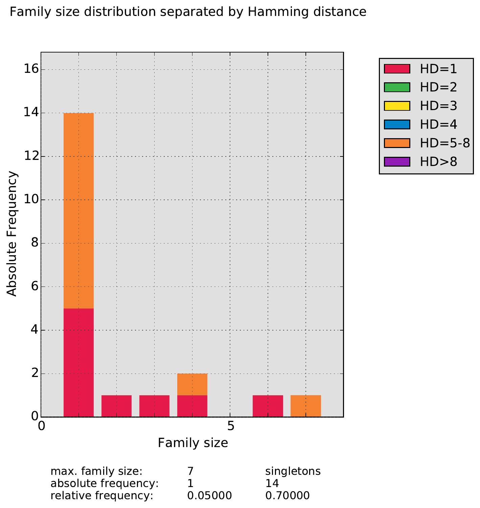# Family size distribution separated by Hamming distance



![](_page_1_Figure_2.jpeg)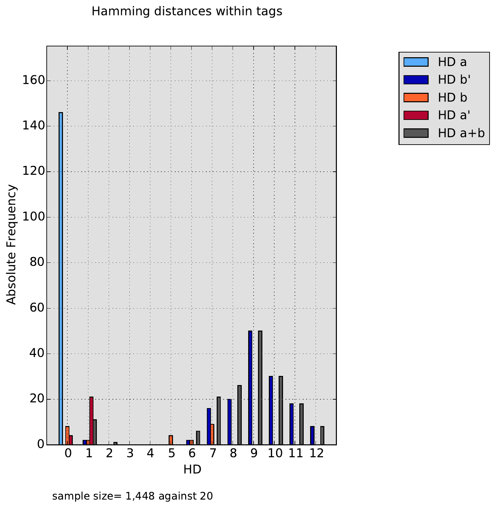## Hamming distances within tags

![](_page_2_Figure_1.jpeg)

![](_page_2_Figure_2.jpeg)

sample size= 1,448 against 20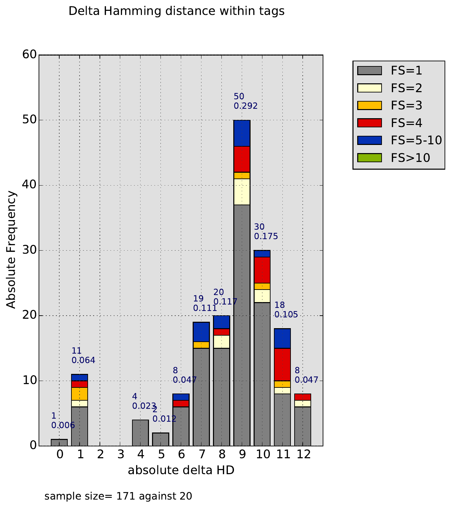## Delta Hamming distance within tags

![](_page_3_Figure_1.jpeg)

![](_page_3_Figure_2.jpeg)

sample size= 171 against 20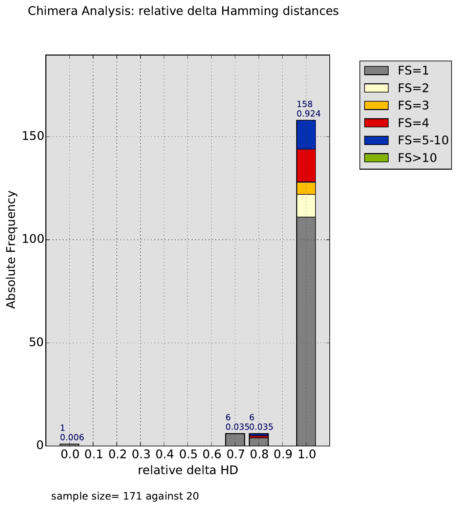## Chimera Analysis: relative delta Hamming distances

![](_page_4_Figure_1.jpeg)

![](_page_4_Figure_2.jpeg)